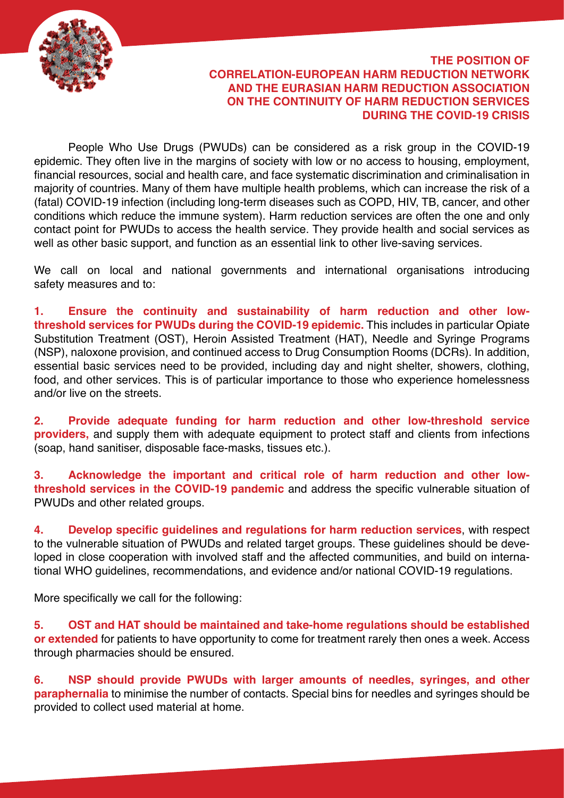

## **THE POSITION OF CORRELATION-EUROPEAN HARM REDUCTION NETWORK AND THE EURASIAN HARM REDUCTION ASSOCIATION ON THE CONTINUITY OF HARM REDUCTION SERVICES DURING THE COVID-19 CRISIS**

People Who Use Drugs (PWUDs) can be considered as a risk group in the COVID-19 epidemic. They often live in the margins of society with low or no access to housing, employment, financial resources, social and health care, and face systematic discrimination and criminalisation in majority of countries. Many of them have multiple health problems, which can increase the risk of a (fatal) COVID-19 infection (including long-term diseases such as COPD, HIV, TB, cancer, and other conditions which reduce the immune system). Harm reduction services are often the one and only contact point for PWUDs to access the health service. They provide health and social services as well as other basic support, and function as an essential link to other live-saving services.

We call on local and national governments and international organisations introducing safety measures and to:

**1. Ensure the continuity and sustainability of harm reduction and other lowthreshold services for PWUDs during the COVID-19 epidemic.** This includes in particular Opiate Substitution Treatment (OST), Heroin Assisted Treatment (HAT), Needle and Syringe Programs (NSP), naloxone provision, and continued access to Drug Consumption Rooms (DCRs). In addition, essential basic services need to be provided, including day and night shelter, showers, clothing, food, and other services. This is of particular importance to those who experience homelessness and/or live on the streets.

**2. Provide adequate funding for harm reduction and other low-threshold service providers,** and supply them with adequate equipment to protect staff and clients from infections (soap, hand sanitiser, disposable face-masks, tissues etc.).

**3. Acknowledge the important and critical role of harm reduction and other lowthreshold services in the COVID-19 pandemic** and address the specific vulnerable situation of PWUDs and other related groups.

**4. Develop specific guidelines and regulations for harm reduction services**, with respect to the vulnerable situation of PWUDs and related target groups. These guidelines should be developed in close cooperation with involved staff and the affected communities, and build on international WHO guidelines, recommendations, and evidence and/or national COVID-19 regulations.

More specifically we call for the following:

**5. OST and HAT should be maintained and take-home regulations should be established or extended** for patients to have opportunity to come for treatment rarely then ones a week. Access through pharmacies should be ensured.

**6. NSP should provide PWUDs with larger amounts of needles, syringes, and other paraphernalia** to minimise the number of contacts. Special bins for needles and syringes should be provided to collect used material at home.